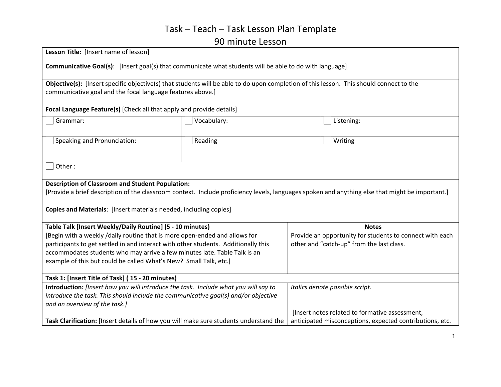# Task – Teach – Task Lesson Plan Template

#### 90 minute Lesson

| Lesson Title: [Insert name of lesson]                                                                                                           |             |                                                          |                                                |  |
|-------------------------------------------------------------------------------------------------------------------------------------------------|-------------|----------------------------------------------------------|------------------------------------------------|--|
| <b>Communicative Goal(s):</b> [Insert goal(s) that communicate what students will be able to do with language]                                  |             |                                                          |                                                |  |
| Objective(s): [Insert specific objective(s) that students will be able to do upon completion of this lesson. This should connect to the         |             |                                                          |                                                |  |
| communicative goal and the focal language features above.]                                                                                      |             |                                                          |                                                |  |
| Focal Language Feature(s) [Check all that apply and provide details]                                                                            |             |                                                          |                                                |  |
| Grammar:                                                                                                                                        | Vocabulary: |                                                          | Listening:                                     |  |
|                                                                                                                                                 |             |                                                          |                                                |  |
| Speaking and Pronunciation:                                                                                                                     | Reading     |                                                          | Writing                                        |  |
|                                                                                                                                                 |             |                                                          |                                                |  |
| Other:                                                                                                                                          |             |                                                          |                                                |  |
|                                                                                                                                                 |             |                                                          |                                                |  |
| <b>Description of Classroom and Student Population:</b>                                                                                         |             |                                                          |                                                |  |
| [Provide a brief description of the classroom context. Include proficiency levels, languages spoken and anything else that might be important.] |             |                                                          |                                                |  |
| Copies and Materials: [Insert materials needed, including copies]                                                                               |             |                                                          |                                                |  |
| Table Talk [Insert Weekly/Daily Routine] (5 - 10 minutes)                                                                                       |             | <b>Notes</b>                                             |                                                |  |
| [Begin with a weekly /daily routine that is more open-ended and allows for                                                                      |             | Provide an opportunity for students to connect with each |                                                |  |
| participants to get settled in and interact with other students. Additionally this                                                              |             |                                                          | other and "catch-up" from the last class.      |  |
| accommodates students who may arrive a few minutes late. Table Talk is an                                                                       |             |                                                          |                                                |  |
| example of this but could be called What's New? Small Talk, etc.]                                                                               |             |                                                          |                                                |  |
| Task 1: [Insert Title of Task] (15 - 20 minutes)                                                                                                |             |                                                          |                                                |  |
| Introduction: [Insert how you will introduce the task. Include what you will say to                                                             |             |                                                          | Italics denote possible script.                |  |
| introduce the task. This should include the communicative goal(s) and/or objective                                                              |             |                                                          |                                                |  |
| and an overview of the task.]                                                                                                                   |             |                                                          |                                                |  |
|                                                                                                                                                 |             |                                                          | [Insert notes related to formative assessment, |  |
| Task Clarification: [Insert details of how you will make sure students understand the                                                           |             | anticipated misconceptions, expected contributions, etc. |                                                |  |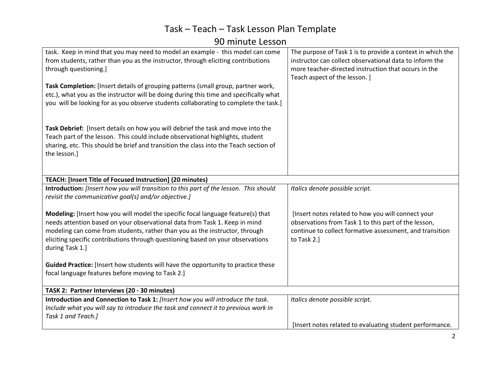# Task – Teach – Task Lesson Plan Template

90 minute Lesson

| task. Keep in mind that you may need to model an example - this model can come<br>from students, rather than you as the instructor, through eliciting contributions<br>through questioning.]<br>Task Completion: [Insert details of grouping patterns (small group, partner work,<br>etc.), what you as the instructor will be doing during this time and specifically what<br>you will be looking for as you observe students collaborating to complete the task.]                           | The purpose of Task 1 is to provide a context in which the<br>instructor can collect observational data to inform the<br>more teacher-directed instruction that occurs in the<br>Teach aspect of the lesson.] |  |  |
|-----------------------------------------------------------------------------------------------------------------------------------------------------------------------------------------------------------------------------------------------------------------------------------------------------------------------------------------------------------------------------------------------------------------------------------------------------------------------------------------------|---------------------------------------------------------------------------------------------------------------------------------------------------------------------------------------------------------------|--|--|
| Task Debrief: [Insert details on how you will debrief the task and move into the<br>Teach part of the lesson. This could include observational highlights, student<br>sharing, etc. This should be brief and transition the class into the Teach section of<br>the lesson.]                                                                                                                                                                                                                   |                                                                                                                                                                                                               |  |  |
| TEACH: [Insert Title of Focused Instruction] (20 minutes)                                                                                                                                                                                                                                                                                                                                                                                                                                     |                                                                                                                                                                                                               |  |  |
| Introduction: [Insert how you will transition to this part of the lesson. This should<br>revisit the communicative goal(s) and/or objective.]                                                                                                                                                                                                                                                                                                                                                 | Italics denote possible script.                                                                                                                                                                               |  |  |
| Modeling: [Insert how you will model the specific focal language feature(s) that<br>needs attention based on your observational data from Task 1. Keep in mind<br>modeling can come from students, rather than you as the instructor, through<br>eliciting specific contributions through questioning based on your observations<br>during Task 1.]<br>Guided Practice: [Insert how students will have the opportunity to practice these<br>focal language features before moving to Task 2.] | [Insert notes related to how you will connect your<br>observations from Task 1 to this part of the lesson,<br>continue to collect formative assessment, and transition<br>to Task 2.]                         |  |  |
| TASK 2: Partner Interviews (20 - 30 minutes)                                                                                                                                                                                                                                                                                                                                                                                                                                                  |                                                                                                                                                                                                               |  |  |
| Introduction and Connection to Task 1: [Insert how you will introduce the task.                                                                                                                                                                                                                                                                                                                                                                                                               | Italics denote possible script.                                                                                                                                                                               |  |  |
| Include what you will say to introduce the task and connect it to previous work in<br>Task 1 and Teach.]                                                                                                                                                                                                                                                                                                                                                                                      |                                                                                                                                                                                                               |  |  |
|                                                                                                                                                                                                                                                                                                                                                                                                                                                                                               | [Insert notes related to evaluating student performance.                                                                                                                                                      |  |  |